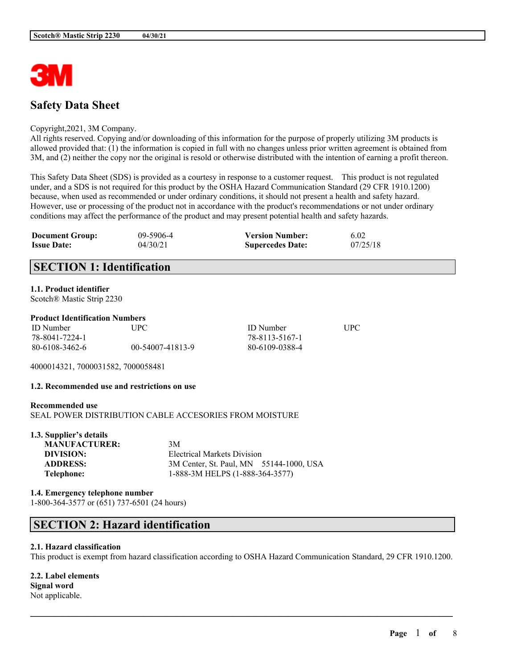

# **Safety Data Sheet**

#### Copyright,2021, 3M Company.

All rights reserved. Copying and/or downloading of this information for the purpose of properly utilizing 3M products is allowed provided that: (1) the information is copied in full with no changes unless prior written agreement is obtained from 3M, and (2) neither the copy nor the original is resold or otherwise distributed with the intention of earning a profit thereon.

This Safety Data Sheet (SDS) is provided as a courtesy in response to a customer request. This product is not regulated under, and a SDS is not required for this product by the OSHA Hazard Communication Standard (29 CFR 1910.1200) because, when used as recommended or under ordinary conditions, it should not present a health and safety hazard. However, use or processing of the product not in accordance with the product's recommendations or not under ordinary conditions may affect the performance of the product and may present potential health and safety hazards.

| <b>Document Group:</b> | 09-5906-4 | <b>Version Number:</b>  | 6.02     |
|------------------------|-----------|-------------------------|----------|
| <b>Issue Date:</b>     | 04/30/21  | <b>Supercedes Date:</b> | 07/25/18 |

# **SECTION 1: Identification**

## **1.1. Product identifier**

Scotch® Mastic Strip 2230

#### **Product Identification Numbers**

| <b>ID</b> Number | <b>UPC</b>       | <b>ID</b> Number | UPC |
|------------------|------------------|------------------|-----|
| 78-8041-7224-1   |                  | 78-8113-5167-1   |     |
| 80-6108-3462-6   | 00-54007-41813-9 | 80-6109-0388-4   |     |

4000014321, 7000031582, 7000058481

## **1.2. Recommended use and restrictions on use**

# **Recommended use** SEAL POWER DISTRIBUTION CABLE ACCESORIES FROM MOISTURE

| 1.3. Supplier's details |                                         |
|-------------------------|-----------------------------------------|
| <b>MANUFACTURER:</b>    | 3M                                      |
| DIVISION:               | Electrical Markets Division             |
| <b>ADDRESS:</b>         | 3M Center, St. Paul, MN 55144-1000, USA |
| Telephone:              | 1-888-3M HELPS (1-888-364-3577)         |

## **1.4. Emergency telephone number** 1-800-364-3577 or (651) 737-6501 (24 hours)

# **SECTION 2: Hazard identification**

#### **2.1. Hazard classification**

This product is exempt from hazard classification according to OSHA Hazard Communication Standard, 29 CFR 1910.1200.

 $\mathcal{L}_\mathcal{L} = \mathcal{L}_\mathcal{L} = \mathcal{L}_\mathcal{L} = \mathcal{L}_\mathcal{L} = \mathcal{L}_\mathcal{L} = \mathcal{L}_\mathcal{L} = \mathcal{L}_\mathcal{L} = \mathcal{L}_\mathcal{L} = \mathcal{L}_\mathcal{L} = \mathcal{L}_\mathcal{L} = \mathcal{L}_\mathcal{L} = \mathcal{L}_\mathcal{L} = \mathcal{L}_\mathcal{L} = \mathcal{L}_\mathcal{L} = \mathcal{L}_\mathcal{L} = \mathcal{L}_\mathcal{L} = \mathcal{L}_\mathcal{L}$ 

**2.2. Label elements Signal word** Not applicable.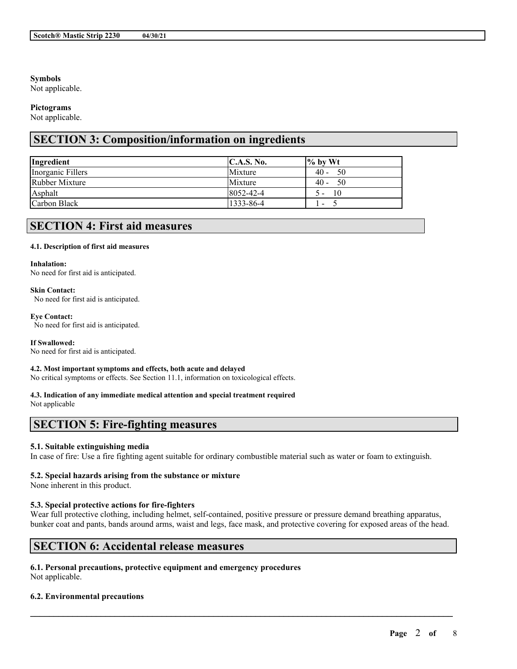## **Symbols**

Not applicable.

#### **Pictograms**

Not applicable.

# **SECTION 3: Composition/information on ingredients**

| Ingredient        | C.A.S. No.      | $\frac{9}{6}$ by Wt      |
|-------------------|-----------------|--------------------------|
| Inorganic Fillers | Mixture         | $40 - 50$                |
| Rubber Mixture    | Mixture         | $40 - 50$                |
| Asphalt           | $8052 - 42 - 4$ | $\overline{10}$<br>$5 -$ |
| Carbon Black      | 1333-86-4       | $\overline{\phantom{0}}$ |

# **SECTION 4: First aid measures**

#### **4.1. Description of first aid measures**

#### **Inhalation:**

No need for first aid is anticipated.

#### **Skin Contact:**

No need for first aid is anticipated.

# **Eye Contact:**

No need for first aid is anticipated.

#### **If Swallowed:**

No need for first aid is anticipated.

#### **4.2. Most important symptoms and effects, both acute and delayed**

No critical symptoms or effects. See Section 11.1, information on toxicological effects.

# **4.3. Indication of any immediate medical attention and special treatment required**

Not applicable

# **SECTION 5: Fire-fighting measures**

# **5.1. Suitable extinguishing media**

In case of fire: Use a fire fighting agent suitable for ordinary combustible material such as water or foam to extinguish.

# **5.2. Special hazards arising from the substance or mixture**

None inherent in this product.

# **5.3. Special protective actions for fire-fighters**

Wear full protective clothing, including helmet, self-contained, positive pressure or pressure demand breathing apparatus, bunker coat and pants, bands around arms, waist and legs, face mask, and protective covering for exposed areas of the head.

 $\mathcal{L}_\mathcal{L} = \mathcal{L}_\mathcal{L} = \mathcal{L}_\mathcal{L} = \mathcal{L}_\mathcal{L} = \mathcal{L}_\mathcal{L} = \mathcal{L}_\mathcal{L} = \mathcal{L}_\mathcal{L} = \mathcal{L}_\mathcal{L} = \mathcal{L}_\mathcal{L} = \mathcal{L}_\mathcal{L} = \mathcal{L}_\mathcal{L} = \mathcal{L}_\mathcal{L} = \mathcal{L}_\mathcal{L} = \mathcal{L}_\mathcal{L} = \mathcal{L}_\mathcal{L} = \mathcal{L}_\mathcal{L} = \mathcal{L}_\mathcal{L}$ 

# **SECTION 6: Accidental release measures**

# **6.1. Personal precautions, protective equipment and emergency procedures**

Not applicable.

# **6.2. Environmental precautions**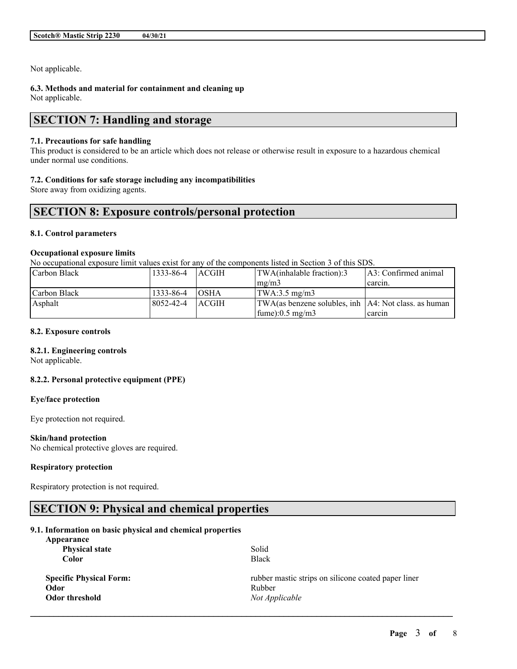Not applicable.

# **6.3. Methods and material for containment and cleaning up**

Not applicable.

# **SECTION 7: Handling and storage**

## **7.1. Precautions for safe handling**

This product is considered to be an article which does not release or otherwise result in exposure to a hazardous chemical under normal use conditions.

## **7.2. Conditions for safe storage including any incompatibilities**

Store away from oxidizing agents.

# **SECTION 8: Exposure controls/personal protection**

## **8.1. Control parameters**

## **Occupational exposure limits**

No occupational exposure limit values exist for any of the components listed in Section 3 of this SDS.

| Carbon Black | 1333-86-4 | <b>LACGIH</b> | TWA(inhalable fraction):3                                               | LA3: Confirmed animal |
|--------------|-----------|---------------|-------------------------------------------------------------------------|-----------------------|
|              |           |               | $\text{Im} \Omega / \text{m}$                                           | carcin.               |
| Carbon Black | 1333-86-4 | <b>TOSHA</b>  | $\text{TWA}:3.5 \text{ mg/m3}$                                          |                       |
| Asphalt      | 8052-42-4 | <b>LACGIH</b> | $\text{TWA}$ (as benzene solubles, inh $\text{A4: Not class.}$ as human |                       |
|              |           |               | $\text{fume}$ :0.5 mg/m3                                                | carcin                |

#### **8.2. Exposure controls**

#### **8.2.1. Engineering controls**

Not applicable.

# **8.2.2. Personal protective equipment (PPE)**

## **Eye/face protection**

Eye protection not required.

#### **Skin/hand protection**

No chemical protective gloves are required.

# **Respiratory protection**

Respiratory protection is not required.

# **SECTION 9: Physical and chemical properties**

# **9.1. Information on basic physical and chemical properties**

| Appearance                     |                                                     |
|--------------------------------|-----------------------------------------------------|
| <b>Physical state</b>          | Solid                                               |
| Color                          | <b>Black</b>                                        |
| <b>Specific Physical Form:</b> | rubber mastic strips on silicone coated paper liner |
| Odor                           | Rubber                                              |
| Odor threshold                 | Not Applicable                                      |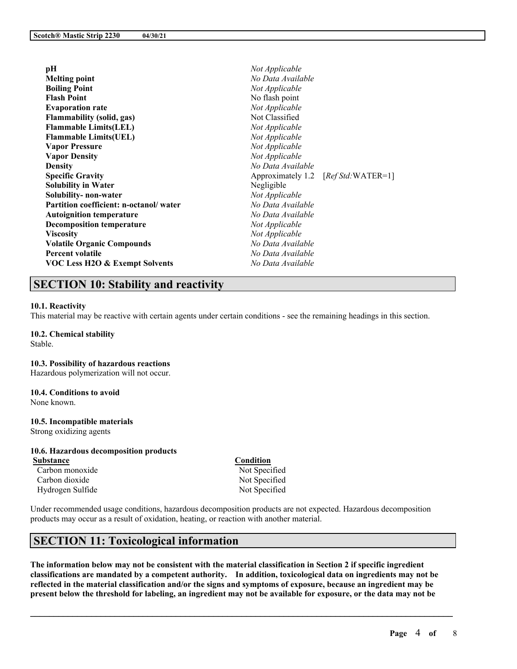| pH                                     | Not Applicable    |                                      |
|----------------------------------------|-------------------|--------------------------------------|
| <b>Melting point</b>                   | No Data Available |                                      |
| <b>Boiling Point</b>                   | Not Applicable    |                                      |
| <b>Flash Point</b>                     | No flash point    |                                      |
| <b>Evaporation rate</b>                | Not Applicable    |                                      |
| <b>Flammability (solid, gas)</b>       | Not Classified    |                                      |
| <b>Flammable Limits(LEL)</b>           | Not Applicable    |                                      |
| <b>Flammable Limits(UEL)</b>           | Not Applicable    |                                      |
| <b>Vapor Pressure</b>                  | Not Applicable    |                                      |
| <b>Vapor Density</b>                   | Not Applicable    |                                      |
| <b>Density</b>                         | No Data Available |                                      |
| <b>Specific Gravity</b>                |                   | Approximately 1.2 [Ref Std: WATER=1] |
| <b>Solubility in Water</b>             | Negligible        |                                      |
| Solubility- non-water                  | Not Applicable    |                                      |
| Partition coefficient: n-octanol/water | No Data Available |                                      |
| <b>Autoignition temperature</b>        | No Data Available |                                      |
| <b>Decomposition temperature</b>       | Not Applicable    |                                      |
| <b>Viscosity</b>                       | Not Applicable    |                                      |
| <b>Volatile Organic Compounds</b>      | No Data Available |                                      |
| <b>Percent volatile</b>                | No Data Available |                                      |
| VOC Less H2O & Exempt Solvents         | No Data Available |                                      |
|                                        |                   |                                      |

# **SECTION 10: Stability and reactivity**

#### **10.1. Reactivity**

This material may be reactive with certain agents under certain conditions - see the remaining headings in this section.

**10.2. Chemical stability** Stable.

#### **10.3. Possibility of hazardous reactions**

Hazardous polymerization will not occur.

#### **10.4. Conditions to avoid**

None known.

#### **10.5. Incompatible materials**

Strong oxidizing agents

# **10.6. Hazardous decomposition products**

**Substance Condition** Carbon monoxide Not Specified Carbon dioxide Not Specified Hydrogen Sulfide Not Specified

Under recommended usage conditions, hazardous decomposition products are not expected. Hazardous decomposition products may occur as a result of oxidation, heating, or reaction with another material.

# **SECTION 11: Toxicological information**

The information below may not be consistent with the material classification in Section 2 if specific ingredient **classifications are mandated by a competent authority. In addition, toxicological data on ingredients may not be** reflected in the material classification and/or the signs and symptoms of exposure, because an ingredient may be present below the threshold for labeling, an ingredient may not be available for exposure, or the data may not be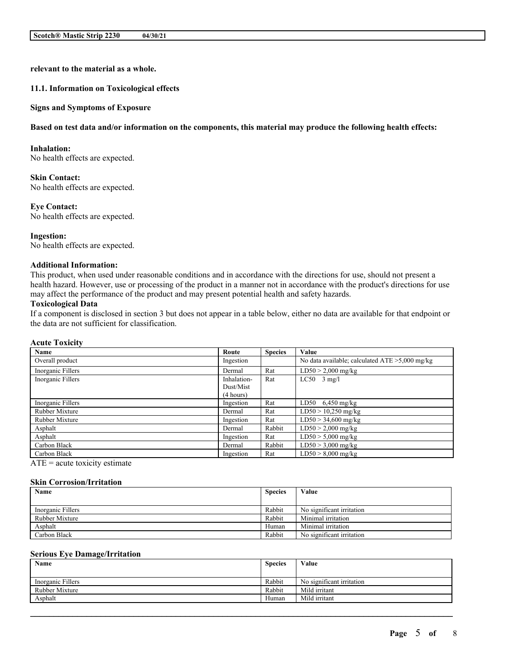**relevant to the material as a whole.**

#### **11.1. Information on Toxicological effects**

#### **Signs and Symptoms of Exposure**

#### Based on test data and/or information on the components, this material may produce the following health effects:

#### **Inhalation:**

No health effects are expected.

**Skin Contact:** No health effects are expected.

#### **Eye Contact:**

No health effects are expected.

**Ingestion:** No health effects are expected.

# **Additional Information:**

This product, when used under reasonable conditions and in accordance with the directions for use, should not present a health hazard. However, use or processing of the product in a manner not in accordance with the product's directions for use may affect the performance of the product and may present potential health and safety hazards.

#### **Toxicological Data**

If a component is disclosed in section 3 but does not appear in a table below, either no data are available for that endpoint or the data are not sufficient for classification.

#### **Acute Toxicity**

| Name              | Route       | <b>Species</b> | Value                                             |
|-------------------|-------------|----------------|---------------------------------------------------|
| Overall product   | Ingestion   |                | No data available; calculated $ATE > 5,000$ mg/kg |
| Inorganic Fillers | Dermal      | Rat            | $LD50 > 2,000$ mg/kg                              |
| Inorganic Fillers | Inhalation- | Rat            | $LC50$ 3 mg/l                                     |
|                   | Dust/Mist   |                |                                                   |
|                   | (4 hours)   |                |                                                   |
| Inorganic Fillers | Ingestion   | Rat            | LD50 $6,450$ mg/kg                                |
| Rubber Mixture    | Dermal      | Rat            | $LD50 > 10,250$ mg/kg                             |
| Rubber Mixture    | Ingestion   | Rat            | $LD50 > 34,600$ mg/kg                             |
| Asphalt           | Dermal      | Rabbit         | $LD50 > 2,000$ mg/kg                              |
| Asphalt           | Ingestion   | Rat            | $LD50 > 5,000$ mg/kg                              |
| Carbon Black      | Dermal      | Rabbit         | $LD50 > 3,000$ mg/kg                              |
| Carbon Black      | Ingestion   | Rat            | $LD50 > 8,000$ mg/kg                              |

 $ATE = acute$  toxicity estimate

#### **Skin Corrosion/Irritation**

| Name              | <b>Species</b> | Value                     |
|-------------------|----------------|---------------------------|
|                   |                |                           |
| Inorganic Fillers | Rabbit         | No significant irritation |
| Rubber Mixture    | Rabbit         | Minimal irritation        |
| Asphalt           | Human          | Minimal irritation        |
| Carbon Black      | Rabbit         | No significant irritation |

#### **Serious Eye Damage/Irritation**

| Name              | <b>Species</b> | Value                     |
|-------------------|----------------|---------------------------|
| Inorganic Fillers | Rabbit         | No significant irritation |
| Rubber Mixture    | Rabbit         | Mild irritant             |
| Asphalt           | Human          | Mild irritant             |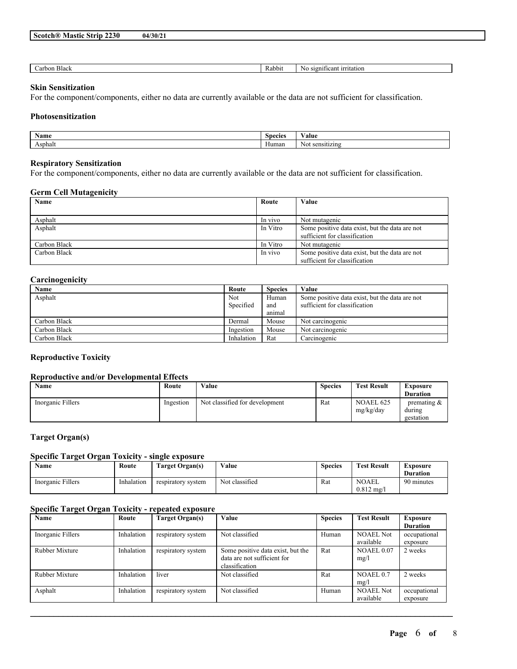| 2230 I<br>$S\text{coth}(\mathbb{R})$<br>Mastic<br>Strip | 04/30/2 |
|---------------------------------------------------------|---------|
|---------------------------------------------------------|---------|

| $\sim$                          |                                                               |
|---------------------------------|---------------------------------------------------------------|
| Black<br>Kabbit<br>arbon<br>- 1 | <i>irritation</i><br>S1Qn<br>*ficant<br>N <sub>c</sub><br>NU. |

## **Skin Sensitization**

For the component/components, either no data are currently available or the data are not sufficient for classification.

## **Photosensitization**

| $\mathbf{v}$<br>Name                 | Species | Valut             |
|--------------------------------------|---------|-------------------|
| sphal<br>and the control of the con- | Human   | $\mathbf{N}$<br>. |

## **Respiratory Sensitization**

For the component/components, either no data are currently available or the data are not sufficient for classification.

#### **Germ Cell Mutagenicity**

| Name         | Route    | Value                                                                           |
|--------------|----------|---------------------------------------------------------------------------------|
|              |          |                                                                                 |
| Asphalt      | In vivo  | Not mutagenic                                                                   |
| Asphalt      | In Vitro | Some positive data exist, but the data are not<br>sufficient for classification |
| Carbon Black | In Vitro | Not mutagenic                                                                   |
| Carbon Black | In vivo  | Some positive data exist, but the data are not<br>sufficient for classification |

# **Carcinogenicity**

| Name         | Route      | <b>Species</b> | Value                                          |
|--------------|------------|----------------|------------------------------------------------|
| Asphalt      | Not        | Human          | Some positive data exist, but the data are not |
|              | Specified  | and            | sufficient for classification                  |
|              |            | animal         |                                                |
| Carbon Black | Dermal     | Mouse          | Not carcinogenic                               |
| Carbon Black | Ingestion  | Mouse          | Not carcinogenic                               |
| Carbon Black | Inhalation | Rat            | Carcinogenic                                   |

# **Reproductive Toxicity**

# **Reproductive and/or Developmental Effects**

| Name              | Route     | Value                          | <b>Species</b> | <b>Test Result</b>            | <b>Exposure</b><br><b>Duration</b>    |
|-------------------|-----------|--------------------------------|----------------|-------------------------------|---------------------------------------|
| Inorganic Fillers | Ingestion | Not classified for development | Rat            | <b>NOAEL 625</b><br>mg/kg/day | premating $\&$<br>during<br>gestation |

# **Target Organ(s)**

# **Specific Target Organ Toxicity - single exposure**

| Name              | Route      | <b>Target Organ(s)</b> | Value          | <b>Species</b> | <b>Test Result</b>                    | Exposure   |
|-------------------|------------|------------------------|----------------|----------------|---------------------------------------|------------|
|                   |            |                        |                |                |                                       | Duration   |
| Inorganic Fillers | Inhalation | respiratory system     | Not classified | Rat            | <b>NOAEL</b><br>$0.812 \text{ mg}$ /l | 90 minutes |

# **Specific Target Organ Toxicity - repeated exposure**

| Name              | Route      | Target Organ(s)    | Value                                                                              | <b>Species</b> | <b>Test Result</b>            | Exposure<br><b>Duration</b> |
|-------------------|------------|--------------------|------------------------------------------------------------------------------------|----------------|-------------------------------|-----------------------------|
| Inorganic Fillers | Inhalation | respiratory system | Not classified                                                                     | Human          | <b>NOAEL Not</b><br>available | occupational<br>exposure    |
| Rubber Mixture    | Inhalation | respiratory system | Some positive data exist, but the<br>data are not sufficient for<br>classification | Rat            | <b>NOAEL 0.07</b><br>mg/l     | 2 weeks                     |
| Rubber Mixture    | Inhalation | liver              | Not classified                                                                     | Rat            | NOAEL 0.7<br>mg/l             | 2 weeks                     |
| Asphalt           | Inhalation | respiratory system | Not classified                                                                     | Human          | <b>NOAEL Not</b><br>available | occupational<br>exposure    |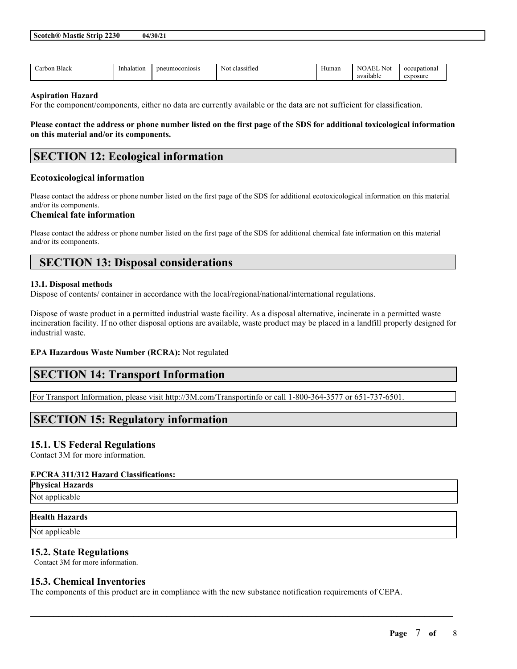| -<br>Black | Inhalation<br>. | coniosis<br>רr.<br>.<br>$\sim$ | $\sim$<br><b>N<sub>O</sub></b><br>.1288<br>нсс<br>551 | чна | NI<br>\∆⊦<br>N01 | ഹ    |
|------------|-----------------|--------------------------------|-------------------------------------------------------|-----|------------------|------|
|            |                 |                                |                                                       |     | QED<br>liabit    | nosu |

#### **Aspiration Hazard**

For the component/components, either no data are currently available or the data are not sufficient for classification.

Please contact the address or phone number listed on the first page of the SDS for additional toxicological information **on this material and/or its components.**

# **SECTION 12: Ecological information**

#### **Ecotoxicological information**

Please contact the address or phone number listed on the first page of the SDS for additional ecotoxicological information on this material and/or its components.

#### **Chemical fate information**

Please contact the address or phone number listed on the first page of the SDS for additional chemical fate information on this material and/or its components.

# **SECTION 13: Disposal considerations**

#### **13.1. Disposal methods**

Dispose of contents/ container in accordance with the local/regional/national/international regulations.

Dispose of waste product in a permitted industrial waste facility. As a disposal alternative, incinerate in a permitted waste incineration facility. If no other disposal options are available, waste product may be placed in a landfill properly designed for industrial waste.

## **EPA Hazardous Waste Number (RCRA):** Not regulated

# **SECTION 14: Transport Information**

For Transport Information, please visit http://3M.com/Transportinfo or call 1-800-364-3577 or 651-737-6501.

# **SECTION 15: Regulatory information**

# **15.1. US Federal Regulations**

Contact 3M for more information.

#### **EPCRA 311/312 Hazard Classifications:**

**Physical Hazards** Not applicable

#### **Health Hazards**

Not applicable

# **15.2. State Regulations**

Contact 3M for more information.

# **15.3. Chemical Inventories**

The components of this product are in compliance with the new substance notification requirements of CEPA.